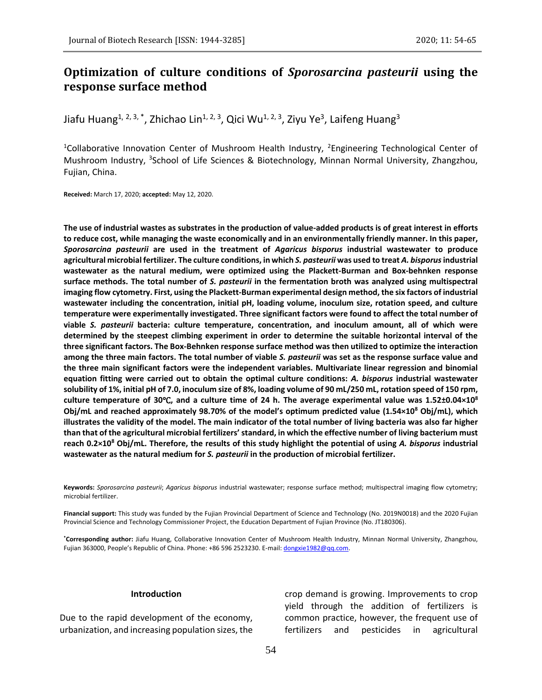# **Optimization of culture conditions of** *Sporosarcina pasteurii* **using the response surface method**

Jiafu Huang<sup>1, 2, 3,</sup> \*, Zhichao Lin<sup>1, 2, 3</sup>, Qici Wu<sup>1, 2, 3</sup>, Ziyu Ye<sup>3</sup>, Laifeng Huang<sup>3</sup>

<sup>1</sup>Collaborative Innovation Center of Mushroom Health Industry, <sup>2</sup>Engineering Technological Center of Mushroom Industry, <sup>3</sup>School of Life Sciences & Biotechnology, Minnan Normal University, Zhangzhou, Fujian, China.

**Received:** March 17, 2020; **accepted:** May 12, 2020.

**The use of industrial wastes as substrates in the production of value-added products is of great interest in efforts to reduce cost, while managing the waste economically and in an environmentally friendly manner. In this paper,**  *Sporosarcina pasteurii* **are used in the treatment of** *Agaricus bisporus* **industrial wastewater to produce agricultural microbial fertilizer. The culture conditions, in which** *S. pasteurii* **was used to treat** *A. bisporus***industrial wastewater as the natural medium, were optimized using the Plackett-Burman and Box-behnken response surface methods. The total number of** *S. pasteurii* **in the fermentation broth was analyzed using multispectral imaging flow cytometry. First, using the Plackett-Burman experimental design method, the six factors of industrial wastewater including the concentration, initial pH, loading volume, inoculum size, rotation speed, and culture temperature were experimentally investigated. Three significant factors were found to affect the total number of viable** *S. pasteurii* **bacteria: culture temperature, concentration, and inoculum amount, all of which were determined by the steepest climbing experiment in order to determine the suitable horizontal interval of the three significant factors. The Box-Behnken response surface method was then utilized to optimize the interaction among the three main factors. The total number of viable** *S. pasteurii* **was set as the response surface value and the three main significant factors were the independent variables. Multivariate linear regression and binomial equation fitting were carried out to obtain the optimal culture conditions:** *A. bisporus* **industrial wastewater solubility of 1%, initial pH of 7.0, inoculum size of 8%, loading volume of 90 mL/250 mL, rotation speed of 150 rpm, culture temperature of 30**℃**, and a culture time of 24 h. The average experimental value was 1.52±0.04×10<sup>8</sup> Obj/mL and reached approximately 98.70% of the model's optimum predicted value (1.54×10<sup>8</sup> Obj/mL), which illustrates the validity of the model. The main indicator of the total number of living bacteria was also far higher than that of the agricultural microbial fertilizers' standard, in which the effective number of living bacterium must reach 0.2×10<sup>8</sup> Obj/mL. Therefore, the results of this study highlight the potential of using** *A. bisporus* **industrial wastewater as the natural medium for** *S. pasteurii* **in the production of microbial fertilizer.**

**Keywords:** *Sporosarcina pasteurii*; *Agaricus bisporus* industrial wastewater; response surface method; multispectral imaging flow cytometry; microbial fertilizer.

**Financial support:** This study was funded by the Fujian Provincial Department of Science and Technology (No. 2019N0018) and the 2020 Fujian Provincial Science and Technology Commissioner Project, the Education Department of Fujian Province (No. JT180306).

**\*Corresponding author:** Jiafu Huang, Collaborative Innovation Center of Mushroom Health Industry, Minnan Normal University, Zhangzhou, Fujian 363000, People's Republic of China. Phone: +86 596 2523230. E-mail[: dongxie1982@qq.com.](mailto:dongxie1982@qq.com) 

### **Introduction**

Due to the rapid development of the economy, urbanization, and increasing population sizes, the

crop demand is growing. Improvements to crop yield through the addition of fertilizers is common practice, however, the frequent use of fertilizers and pesticides in agricultural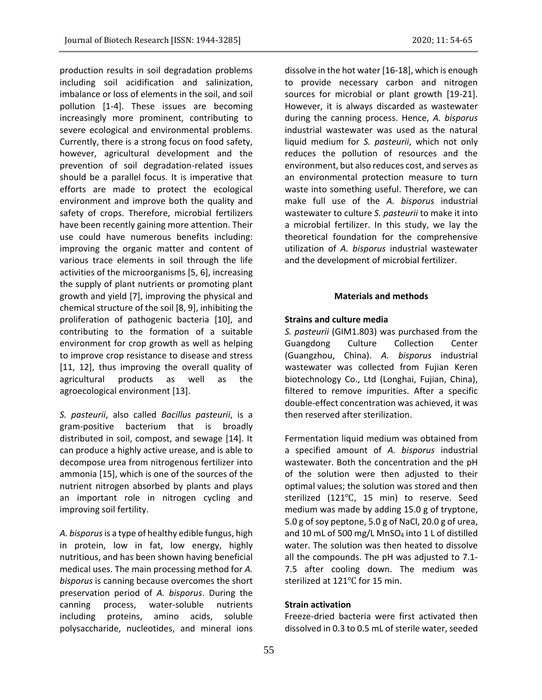production results in soil degradation problems including soil acidification and salinization, imbalance or loss of elements in the soil, and soil pollution [1-4]. These issues are becoming increasingly more prominent, contributing to severe ecological and environmental problems. Currently, there is a strong focus on food safety, however, agricultural development and the prevention of soil degradation-related issues should be a parallel focus. It is imperative that efforts are made to protect the ecological environment and improve both the quality and safety of crops. Therefore, microbial fertilizers have been recently gaining more attention. Their use could have numerous benefits including: improving the organic matter and content of various trace elements in soil through the life activities of the microorganisms [5, 6], increasing the supply of plant nutrients or promoting plant growth and yield [7], improving the physical and chemical structure of the soil [8, 9], inhibiting the proliferation of pathogenic bacteria [10], and contributing to the formation of a suitable environment for crop growth as well as helping to improve crop resistance to disease and stress [11, 12], thus improving the overall quality of agricultural products as well as the agroecological environment [13].

*S. pasteurii*, also called *Bacillus pasteurii*, is a gram-positive bacterium that is broadly distributed in soil, compost, and sewage [14]. It can produce a highly active urease, and is able to decompose urea from nitrogenous fertilizer into ammonia [15], which is one of the sources of the nutrient nitrogen absorbed by plants and plays an important role in nitrogen cycling and improving soil fertility.

*A. bisporus*is a type of healthy edible fungus, high in protein, low in fat, low energy, highly nutritious, and has been shown having beneficial medical uses. The main processing method for *A. bisporus* is canning because overcomes the short preservation period of *A. bisporus*. During the canning process, water-soluble nutrients including proteins, amino acids, soluble polysaccharide, nucleotides, and mineral ions dissolve in the hot water [16-18], which is enough to provide necessary carbon and nitrogen sources for microbial or plant growth [19-21]. However, it is always discarded as wastewater during the canning process. Hence, *A. bisporus* industrial wastewater was used as the natural liquid medium for *S. pasteurii*, which not only reduces the pollution of resources and the environment, but also reduces cost, and serves as an environmental protection measure to turn waste into something useful. Therefore, we can make full use of the *A. bisporus* industrial wastewater to culture *S. pasteurii* to make it into a microbial fertilizer. In this study, we lay the theoretical foundation for the comprehensive utilization of *A. bisporus* industrial wastewater and the development of microbial fertilizer.

## **Materials and methods**

# **Strains and culture media**

*S. pasteurii* (GIM1.803) was purchased from the Guangdong Culture Collection Center (Guangzhou, China). *A. bisporus* industrial wastewater was collected from Fujian Keren biotechnology Co., Ltd (Longhai, Fujian, China), filtered to remove impurities. After a specific double-effect concentration was achieved, it was then reserved after sterilization.

Fermentation liquid medium was obtained from a specified amount of *A. bisporus* industrial wastewater. Both the concentration and the pH of the solution were then adjusted to their optimal values; the solution was stored and then sterilized (121℃, 15 min) to reserve. Seed medium was made by adding 15.0 g of tryptone, 5.0 g of soy peptone, 5.0 g of NaCl, 20.0 g of urea, and 10 mL of 500 mg/L MnSO<sub>4</sub> into 1 L of distilled water. The solution was then heated to dissolve all the compounds. The pH was adjusted to 7.1- 7.5 after cooling down. The medium was sterilized at 121℃ for 15 min.

## **Strain activation**

Freeze-dried bacteria were first activated then dissolved in 0.3 to 0.5 mL of sterile water, seeded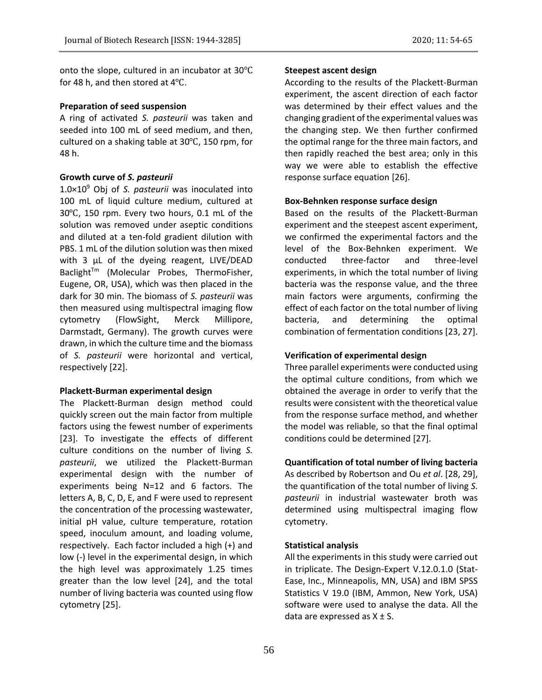onto the slope, cultured in an incubator at 30℃ for 48 h, and then stored at 4℃.

## **Preparation of seed suspension**

A ring of activated *S. pasteurii* was taken and seeded into 100 mL of seed medium, and then, cultured on a shaking table at 30℃, 150 rpm, for 48 h.

#### **Growth curve of** *S. pasteurii*

1.0×10<sup>9</sup> Obj of *S. pasteurii* was inoculated into 100 mL of liquid culture medium, cultured at 30℃, 150 rpm. Every two hours, 0.1 mL of the solution was removed under aseptic conditions and diluted at a ten-fold gradient dilution with PBS. 1 mL of the dilution solution was then mixed with 3 μL of the dyeing reagent, LIVE/DEAD Baclight<sup>Tm</sup> (Molecular Probes, ThermoFisher, Eugene, OR, USA), which was then placed in the dark for 30 min. The biomass of *S. pasteurii* was then measured using multispectral imaging flow cytometry (FlowSight, Merck Millipore, Darmstadt, Germany). The growth curves were drawn, in which the culture time and the biomass of *S. pasteurii* were horizontal and vertical, respectively [22].

#### **Plackett-Burman experimental design**

The Plackett-Burman design method could quickly screen out the main factor from multiple factors using the fewest number of experiments [23]. To investigate the effects of different culture conditions on the number of living *S. pasteurii*, we utilized the Plackett-Burman experimental design with the number of experiments being N=12 and 6 factors. The letters A, B, C, D, E, and F were used to represent the concentration of the processing wastewater, initial pH value, culture temperature, rotation speed, inoculum amount, and loading volume, respectively. Each factor included a high (+) and low (-) level in the experimental design, in which the high level was approximately 1.25 times greater than the low level [24], and the total number of living bacteria was counted using flow cytometry [25].

#### **Steepest ascent design**

According to the results of the Plackett-Burman experiment, the ascent direction of each factor was determined by their effect values and the changing gradient of the experimental values was the changing step. We then further confirmed the optimal range for the three main factors, and then rapidly reached the best area; only in this way we were able to establish the effective response surface equation [26].

# **Box-Behnken response surface design**

Based on the results of the Plackett-Burman experiment and the steepest ascent experiment, we confirmed the experimental factors and the level of the Box-Behnken experiment. We conducted three-factor and three-level experiments, in which the total number of living bacteria was the response value, and the three main factors were arguments, confirming the effect of each factor on the total number of living bacteria, and determining the optimal combination of fermentation conditions [23, 27].

# **Verification of experimental design**

Three parallel experiments were conducted using the optimal culture conditions, from which we obtained the average in order to verify that the results were consistent with the theoretical value from the response surface method, and whether the model was reliable, so that the final optimal conditions could be determined [27].

## **Quantification of total number of living bacteria**

As described by Robertson and Ou *et al*. [28, 29], the quantification of the total number of living *S. pasteurii* in industrial wastewater broth was determined using multispectral imaging flow cytometry.

## **Statistical analysis**

All the experiments in this study were carried out in triplicate. The Design-Expert V.12.0.1.0 (Stat-Ease, Inc., Minneapolis, MN, USA) and IBM SPSS Statistics V 19.0 (IBM, Ammon, New York, USA) software were used to analyse the data. All the data are expressed as  $X \pm S$ .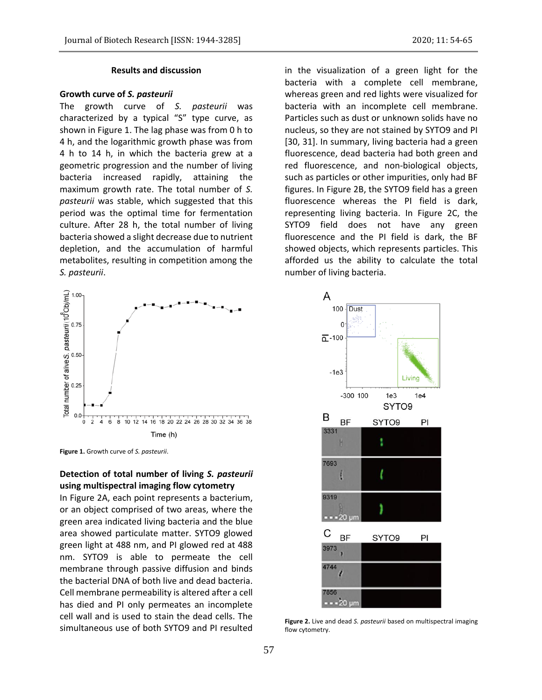## **Growth curve of** *S. pasteurii*

The growth curve of *S. pasteurii* was characterized by a typical "S" type curve, as shown in Figure 1. The lag phase was from 0 h to 4 h, and the logarithmic growth phase was from 4 h to 14 h, in which the bacteria grew at a geometric progression and the number of living bacteria increased rapidly, attaining the maximum growth rate. The total number of *S. pasteurii* was stable, which suggested that this period was the optimal time for fermentation culture. After 28 h, the total number of living bacteria showed a slight decrease due to nutrient depletion, and the accumulation of harmful metabolites, resulting in competition among the *S. pasteurii*.



**Figure 1.** Growth curve of *S. pasteurii*.

# **Detection of total number of living** *S. pasteurii* **using multispectral imaging flow cytometry**

In Figure 2A, each point represents a bacterium, or an object comprised of two areas, where the green area indicated living bacteria and the blue area showed particulate matter. SYTO9 glowed green light at 488 nm, and PI glowed red at 488 nm. SYTO9 is able to permeate the cell membrane through passive diffusion and binds the bacterial DNA of both live and dead bacteria. Cell membrane permeability is altered after a cell has died and PI only permeates an incomplete cell wall and is used to stain the dead cells. The simultaneous use of both SYTO9 and PI resulted

in the visualization of a green light for the bacteria with a complete cell membrane, whereas green and red lights were visualized for bacteria with an incomplete cell membrane. Particles such as dust or unknown solids have no nucleus, so they are not stained by SYTO9 and PI [30, 31]. In summary, living bacteria had a green fluorescence, dead bacteria had both green and red fluorescence, and non-biological objects, such as particles or other impurities, only had BF figures. In Figure 2B, the SYTO9 field has a green fluorescence whereas the PI field is dark, representing living bacteria. In Figure 2C, the SYTO9 field does not have any green fluorescence and the PI field is dark, the BF showed objects, which represents particles. This afforded us the ability to calculate the total number of living bacteria.



**Figure 2.** Live and dead *S. pasteurii* based on multispectral imaging flow cytometry.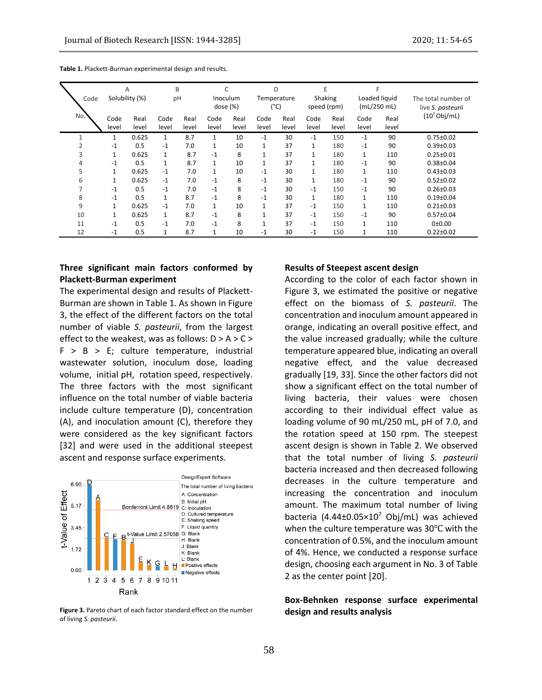| Table 1. Plackett-Burman experimental design and results. |  |  |
|-----------------------------------------------------------|--|--|
|-----------------------------------------------------------|--|--|

| Code |              | A<br>Solubility (%) | B<br>pH      |       | Inoculum     |       | D<br>Temperature |       | Shaking      |       | Loaded liquid |       | The total number of |
|------|--------------|---------------------|--------------|-------|--------------|-------|------------------|-------|--------------|-------|---------------|-------|---------------------|
|      |              |                     |              |       | dose $(\%)$  |       | $(^{\circ}C)$    |       | speed (rpm)  |       | (mL/250 mL)   |       | live S. pasteurii   |
| No.  | Code         | Real                | Code         | Real  | Code         | Real  | Code             | Real  | Code         | Real  | Code          | Real  | $(10^7$ Obj/mL)     |
|      | level        | level               | level        | level | level        | level | level            | level | level        | level | level         | level |                     |
| 1    | 1            | 0.625               | $\mathbf{1}$ | 8.7   | 1            | 10    | $-1$             | 30    | $-1$         | 150   | $-1$          | 90    | $0.75 \pm 0.02$     |
| 2    | $-1$         | 0.5                 | $-1$         | 7.0   | $\mathbf{1}$ | 10    | $\mathbf{1}$     | 37    | 1            | 180   | $-1$          | 90    | $0.39 \pm 0.03$     |
| 3    | $\mathbf{1}$ | 0.625               | $\mathbf{1}$ | 8.7   | $-1$         | 8     | $\mathbf{1}$     | 37    | $\mathbf{1}$ | 180   | $\mathbf{1}$  | 110   | $0.25 \pm 0.01$     |
| 4    | $-1$         | 0.5                 | $\mathbf{1}$ | 8.7   | $\mathbf{1}$ | 10    | $\mathbf{1}$     | 37    | 1            | 180   | $-1$          | 90    | $0.38 + 0.04$       |
| 5    | $\mathbf{1}$ | 0.625               | $-1$         | 7.0   | $\mathbf{1}$ | 10    | $-1$             | 30    | $\mathbf{1}$ | 180   | 1             | 110   | $0.43 \pm 0.03$     |
| 6    | 1            | 0.625               | $-1$         | 7.0   | $-1$         | 8     | $-1$             | 30    | 1            | 180   | $-1$          | 90    | $0.52 \pm 0.02$     |
|      | $-1$         | 0.5                 | $-1$         | 7.0   | $-1$         | 8     | $-1$             | 30    | $-1$         | 150   | $-1$          | 90    | $0.26 \pm 0.03$     |
| 8    | $-1$         | 0.5                 |              | 8.7   | $-1$         | 8     | $-1$             | 30    | $\mathbf{1}$ | 180   | $\mathbf{1}$  | 110   | $0.19 + 0.04$       |
| 9    | $\mathbf{1}$ | 0.625               | $-1$         | 7.0   | $\mathbf{1}$ | 10    | $\mathbf{1}$     | 37    | $-1$         | 150   | 1             | 110   | $0.21 \pm 0.03$     |
| 10   | $\mathbf{1}$ | 0.625               | $\mathbf{1}$ | 8.7   | $-1$         | 8     | 1                | 37    | $-1$         | 150   | $-1$          | 90    | $0.57 \pm 0.04$     |
| 11   | $-1$         | 0.5                 | $-1$         | 7.0   | $-1$         | 8     | $\mathbf{1}$     | 37    | $-1$         | 150   | $\mathbf{1}$  | 110   | 0±0.00              |
| 12   | $-1$         | 0.5                 |              | 8.7   |              | 10    | $-1$             | 30    | $-1$         | 150   | $\mathbf{1}$  | 110   | $0.22 \pm 0.02$     |

# **Three significant main factors conformed by Plackett-Burman experiment**

The experimental design and results of Plackett-Burman are shown in Table 1. As shown in Figure 3, the effect of the different factors on the total number of viable *S. pasteurii*, from the largest effect to the weakest, was as follows:  $D > A > C >$  $F > B > E$ ; culture temperature, industrial wastewater solution, inoculum dose, loading volume, initial pH, rotation speed, respectively. The three factors with the most significant influence on the total number of viable bacteria include culture temperature (D), concentration (A), and inoculation amount (C), therefore they were considered as the key significant factors [32] and were used in the additional steepest ascent and response surface experiments.



**Figure 3.** Pareto chart of each factor standard effect on the number of living *S. pasteurii*.

#### **Results of Steepest ascent design**

According to the color of each factor shown in Figure 3, we estimated the positive or negative effect on the biomass of *S. pasteurii*. The concentration and inoculum amount appeared in orange, indicating an overall positive effect, and the value increased gradually; while the culture temperature appeared blue, indicating an overall negative effect, and the value decreased gradually [19, 33]. Since the other factors did not show a significant effect on the total number of living bacteria, their values were chosen according to their individual effect value as loading volume of 90 mL/250 mL, pH of 7.0, and the rotation speed at 150 rpm. The steepest ascent design is shown in Table 2. We observed that the total number of living *S. pasteurii* bacteria increased and then decreased following decreases in the culture temperature and increasing the concentration and inoculum amount. The maximum total number of living bacteria (4.44±0.05×10<sup>7</sup> Obj/mL) was achieved when the culture temperature was 30℃ with the concentration of 0.5%, and the inoculum amount of 4%. Hence, we conducted a response surface design, choosing each argument in No. 3 of Table 2 as the center point [20].

# **Box-Behnken response surface experimental design and results analysis**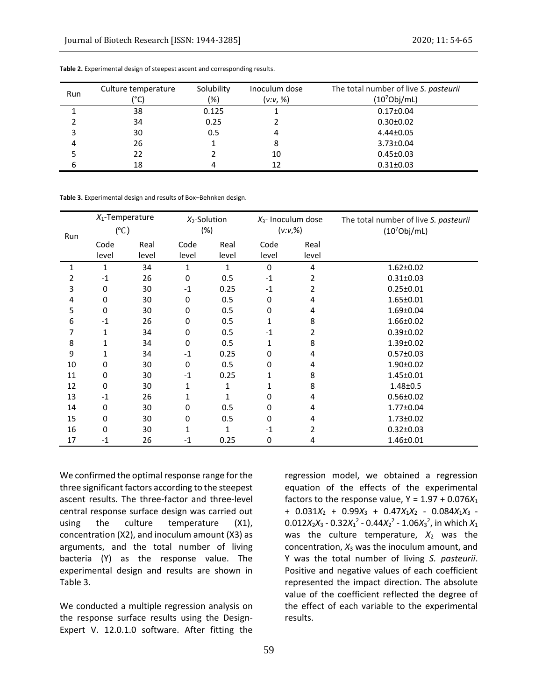| Run | Culture temperature | Solubility | Inoculum dose | The total number of live S. pasteurii |  |  |  |
|-----|---------------------|------------|---------------|---------------------------------------|--|--|--|
|     | °C)                 | $(\%)$     | (v:v, %)      | $(10^7$ Obj/mL)                       |  |  |  |
|     | 38                  | 0.125      |               | $0.17 \pm 0.04$                       |  |  |  |
|     | 34                  | 0.25       |               | $0.30 \pm 0.02$                       |  |  |  |
| 3   | 30                  | 0.5        | 4             | $4.44 \pm 0.05$                       |  |  |  |
| 4   | 26                  |            |               | $3.73 \pm 0.04$                       |  |  |  |
|     | 22                  |            | 10            | $0.45 \pm 0.03$                       |  |  |  |
| 6   | 18                  | 4          | 12            | $0.31 \pm 0.03$                       |  |  |  |

**Table 2.** Experimental design of steepest ascent and corresponding results.

**Table 3.** Experimental design and results of Box–Behnken design.

| Run | $X_1$ -Temperature<br>$(^\circ C)$ |       | $X_2$ -Solution<br>(%) |              | $X_3$ - Inoculum dose<br>$(v:v,\%)$ |       | The total number of live S. pasteurii<br>$(10^7Obj/mL)$ |
|-----|------------------------------------|-------|------------------------|--------------|-------------------------------------|-------|---------------------------------------------------------|
|     | Code                               | Real  | Code                   | Real         | Code                                | Real  |                                                         |
|     | level                              | level | level                  | level        | level                               | level |                                                         |
| 1   | 1                                  | 34    | 1                      | $\mathbf{1}$ | 0                                   | 4     | $1.62 \pm 0.02$                                         |
| 2   | $-1$                               | 26    | 0                      | 0.5          | $-1$                                | 2     | $0.31 \pm 0.03$                                         |
| 3   | 0                                  | 30    | $-1$                   | 0.25         | $-1$                                | 2     | $0.25 \pm 0.01$                                         |
| 4   | 0                                  | 30    | 0                      | 0.5          | 0                                   | 4     | $1.65 \pm 0.01$                                         |
| 5   | 0                                  | 30    | 0                      | 0.5          | 0                                   | 4     | $1.69 \pm 0.04$                                         |
| 6   | $-1$                               | 26    | 0                      | 0.5          | 1                                   | 8     | $1.66 \pm 0.02$                                         |
| 7   | 1                                  | 34    | 0                      | 0.5          | $-1$                                | 2     | $0.39 \pm 0.02$                                         |
| 8   | 1                                  | 34    | 0                      | 0.5          | 1                                   | 8     | $1.39 \pm 0.02$                                         |
| 9   | 1                                  | 34    | $-1$                   | 0.25         | 0                                   | 4     | $0.57 \pm 0.03$                                         |
| 10  | 0                                  | 30    | 0                      | 0.5          | 0                                   | 4     | $1.90 \pm 0.02$                                         |
| 11  | 0                                  | 30    | $-1$                   | 0.25         | 1                                   | 8     | $1.45 \pm 0.01$                                         |
| 12  | 0                                  | 30    | 1                      | 1            | 1                                   | 8     | $1.48 + 0.5$                                            |
| 13  | $-1$                               | 26    | 1                      | 1            | 0                                   | 4     | $0.56 \pm 0.02$                                         |
| 14  | 0                                  | 30    | 0                      | 0.5          | 0                                   | 4     | 1.77±0.04                                               |
| 15  | 0                                  | 30    | 0                      | 0.5          | 0                                   | 4     | $1.73 \pm 0.02$                                         |
| 16  | 0                                  | 30    | 1                      | 1            | $-1$                                | 2     | $0.32 \pm 0.03$                                         |
| 17  | $-1$                               | 26    | $-1$                   | 0.25         | 0                                   | 4     | $1.46 \pm 0.01$                                         |

We confirmed the optimal response range for the three significant factors according to the steepest ascent results. The three-factor and three-level central response surface design was carried out using the culture temperature (X1), concentration (X2), and inoculum amount (X3) as arguments, and the total number of living bacteria (Y) as the response value. The experimental design and results are shown in Table 3.

We conducted a multiple regression analysis on the response surface results using the Design-Expert V. 12.0.1.0 software. After fitting the

regression model, we obtained a regression equation of the effects of the experimental factors to the response value,  $Y = 1.97 + 0.076X_1$ +  $0.031X_2$  +  $0.99X_3$  +  $0.47X_1X_2$  -  $0.084X_1X_3$  - $0.012X_2X_3$  -  $0.32X_1^2$  -  $0.44X_2^2$  -  $1.06X_3^2$ , in which  $X_1$ was the culture temperature,  $X_2$  was the concentration,  $X_3$  was the inoculum amount, and Y was the total number of living *S. pasteurii*. Positive and negative values of each coefficient represented the impact direction. The absolute value of the coefficient reflected the degree of the effect of each variable to the experimental results.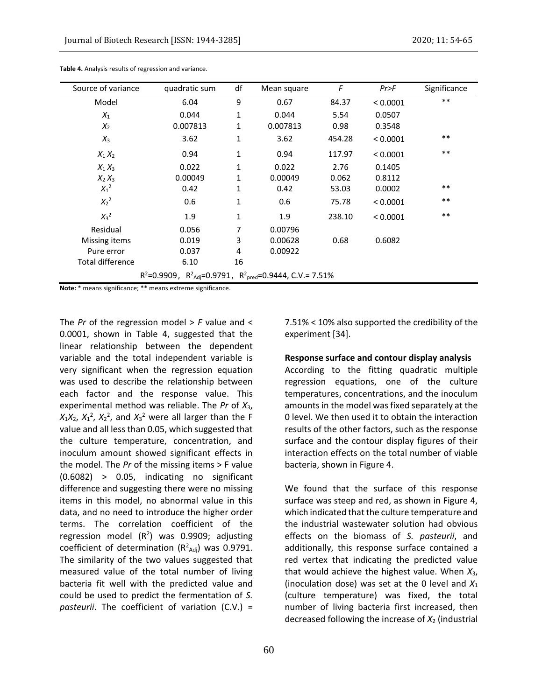| Source of variance      | quadratic sum                                                                           | df | Mean square | F      | Pr>F     | Significance |
|-------------------------|-----------------------------------------------------------------------------------------|----|-------------|--------|----------|--------------|
| Model                   | 6.04                                                                                    | 9  | 0.67        | 84.37  | < 0.0001 | $***$        |
| $X_1$                   | 0.044                                                                                   | 1  | 0.044       | 5.54   | 0.0507   |              |
| $X_2$                   | 0.007813                                                                                | 1  | 0.007813    | 0.98   | 0.3548   |              |
| $X_3$                   | 3.62                                                                                    | 1  | 3.62        | 454.28 | < 0.0001 | $***$        |
| $X_1 X_2$               | 0.94                                                                                    | 1  | 0.94        | 117.97 | < 0.0001 | $***$        |
| $X_1 X_3$               | 0.022                                                                                   | 1  | 0.022       | 2.76   | 0.1405   |              |
| $X_2 X_3$               | 0.00049                                                                                 | 1  | 0.00049     | 0.062  | 0.8112   |              |
| $X_1^2$                 | 0.42                                                                                    | 1  | 0.42        | 53.03  | 0.0002   | $***$        |
| $X_2^2$                 | 0.6                                                                                     | 1  | 0.6         | 75.78  | < 0.0001 | $***$        |
| $X_3^2$                 | 1.9                                                                                     | 1  | 1.9         | 238.10 | < 0.0001 | $***$        |
| Residual                | 0.056                                                                                   | 7  | 0.00796     |        |          |              |
| Missing items           | 0.019                                                                                   | 3  | 0.00628     | 0.68   | 0.6082   |              |
| Pure error              | 0.037                                                                                   | 4  | 0.00922     |        |          |              |
| <b>Total difference</b> | 6.10                                                                                    | 16 |             |        |          |              |
|                         | $R^2$ =0.9909, $R^2$ <sub>Adj</sub> =0.9791, $R^2$ <sub>pred</sub> =0.9444, C.V.= 7.51% |    |             |        |          |              |

**Table 4.** Analysis results of regression and variance.

**Note:** \* means significance; \*\* means extreme significance.

The *Pr* of the regression model > *F* value and < 0.0001, shown in Table 4, suggested that the linear relationship between the dependent variable and the total independent variable is very significant when the regression equation was used to describe the relationship between each factor and the response value. This experimental method was reliable. The *Pr* of *X*3,  $X_1X_2$ ,  $X_1^2$ ,  $X_2^2$ , and  $X_3^2$  were all larger than the F value and all less than 0.05, which suggested that the culture temperature, concentration, and inoculum amount showed significant effects in the model. The *Pr* of the missing items > F value (0.6082) > 0.05, indicating no significant difference and suggesting there were no missing items in this model, no abnormal value in this data, and no need to introduce the higher order terms. The correlation coefficient of the regression model  $(R^2)$  was 0.9909; adjusting coefficient of determination  $(R^2_{\text{Adj}})$  was 0.9791. The similarity of the two values suggested that measured value of the total number of living bacteria fit well with the predicted value and could be used to predict the fermentation of *S. pasteurii*. The coefficient of variation (C.V.) =

7.51% < 10% also supported the credibility of the experiment [34].

#### **Response surface and contour display analysis**

According to the fitting quadratic multiple regression equations, one of the culture temperatures, concentrations, and the inoculum amounts in the model was fixed separately at the 0 level. We then used it to obtain the interaction results of the other factors, such as the response surface and the contour display figures of their interaction effects on the total number of viable bacteria, shown in Figure 4.

We found that the surface of this response surface was steep and red, as shown in Figure 4, which indicated that the culture temperature and the industrial wastewater solution had obvious effects on the biomass of *S. pasteurii*, and additionally, this response surface contained a red vertex that indicating the predicted value that would achieve the highest value. When *X*3, (inoculation dose) was set at the 0 level and  $X_1$ (culture temperature) was fixed, the total number of living bacteria first increased, then decreased following the increase of  $X_2$  (industrial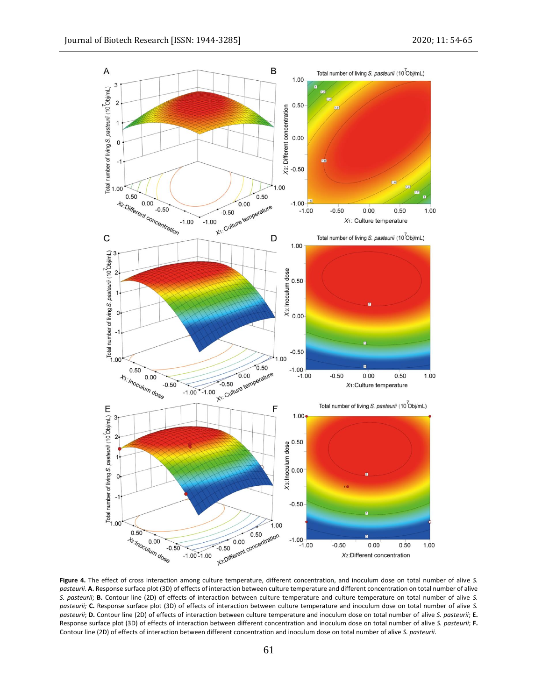

**Figure 4.** The effect of cross interaction among culture temperature, different concentration, and inoculum dose on total number of alive *S. pasteurii*. **A.** Response surface plot (3D) of effects of interaction between culture temperature and different concentration on total number of alive *S. pasteurii*; **B.** Contour line (2D) of effects of interaction between culture temperature and culture temperature on total number of alive *S. pasteurii;* **C.** Response surface plot (3D) of effects of interaction between culture temperature and inoculum dose on total number of alive *S. pasteurii*; **D.** Contour line (2D) of effects of interaction between culture temperature and inoculum dose on total number of alive *S. pasteurii*; **E.** Response surface plot (3D) of effects of interaction between different concentration and inoculum dose on total number of alive *S. pasteurii*; **F.** Contour line (2D) of effects of interaction between different concentration and inoculum dose on total number of alive *S. pasteurii*.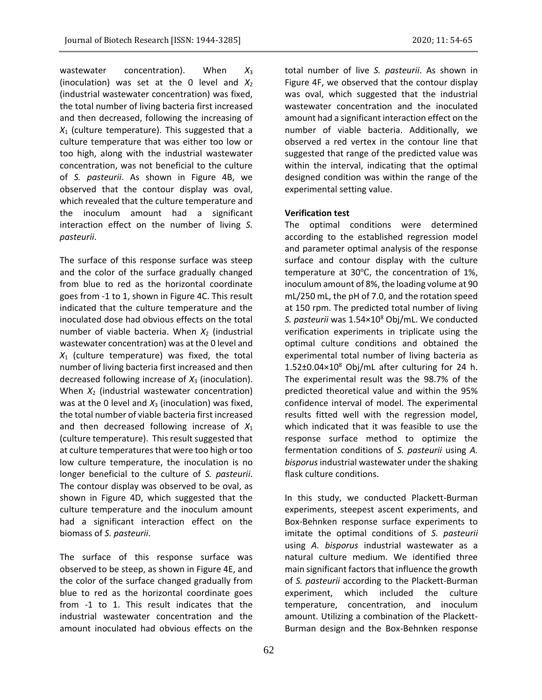wastewater concentration). When  $X_3$ (inoculation) was set at the 0 level and  $X_2$ (industrial wastewater concentration) was fixed, the total number of living bacteria first increased and then decreased, following the increasing of  $X_1$  (culture temperature). This suggested that a culture temperature that was either too low or too high, along with the industrial wastewater concentration, was not beneficial to the culture of *S. pasteurii*. As shown in Figure 4B, we observed that the contour display was oval, which revealed that the culture temperature and the inoculum amount had a significant interaction effect on the number of living *S. pasteurii*.

The surface of this response surface was steep and the color of the surface gradually changed from blue to red as the horizontal coordinate goes from -1 to 1, shown in Figure 4C. This result indicated that the culture temperature and the inoculated dose had obvious effects on the total number of viable bacteria. When  $X_2$  (industrial wastewater concentration) was at the 0 level and *X*<sup>1</sup> (culture temperature) was fixed, the total number of living bacteria first increased and then decreased following increase of  $X_3$  (inoculation). When *X*<sup>2</sup> (industrial wastewater concentration) was at the 0 level and  $X_3$  (inoculation) was fixed, the total number of viable bacteria first increased and then decreased following increase of *X*<sup>1</sup> (culture temperature). This result suggested that at culture temperatures that were too high or too low culture temperature, the inoculation is no longer beneficial to the culture of *S. pasteurii*. The contour display was observed to be oval, as shown in Figure 4D, which suggested that the culture temperature and the inoculum amount had a significant interaction effect on the biomass of *S. pasteurii*.

The surface of this response surface was observed to be steep, as shown in Figure 4E, and the color of the surface changed gradually from blue to red as the horizontal coordinate goes from -1 to 1. This result indicates that the industrial wastewater concentration and the amount inoculated had obvious effects on the

total number of live *S. pasteurii*. As shown in Figure 4F, we observed that the contour display was oval, which suggested that the industrial wastewater concentration and the inoculated amount had a significant interaction effect on the number of viable bacteria. Additionally, we observed a red vertex in the contour line that suggested that range of the predicted value was within the interval, indicating that the optimal designed condition was within the range of the experimental setting value.

# **Verification test**

The optimal conditions were determined according to the established regression model and parameter optimal analysis of the response surface and contour display with the culture temperature at 30℃, the concentration of 1%, inoculum amount of 8%, the loading volume at 90 mL/250 mL, the pH of 7.0, and the rotation speed at 150 rpm. The predicted total number of living *S. pasteurii* was 1.54×10<sup>8</sup> Obj/mL. We conducted verification experiments in triplicate using the optimal culture conditions and obtained the experimental total number of living bacteria as  $1.52\pm0.04\times10^8$  Obj/mL after culturing for 24 h. The experimental result was the 98.7% of the predicted theoretical value and within the 95% confidence interval of model. The experimental results fitted well with the regression model, which indicated that it was feasible to use the response surface method to optimize the fermentation conditions of *S. pasteurii* using *A. bisporus* industrial wastewater under the shaking flask culture conditions.

In this study, we conducted Plackett-Burman experiments, steepest ascent experiments, and Box-Behnken response surface experiments to imitate the optimal conditions of *S. pasteurii* using *A. bisporus* industrial wastewater as a natural culture medium. We identified three main significant factors that influence the growth of *S. pasteurii* according to the Plackett-Burman experiment, which included the culture temperature, concentration, and inoculum amount. Utilizing a combination of the Plackett-Burman design and the Box-Behnken response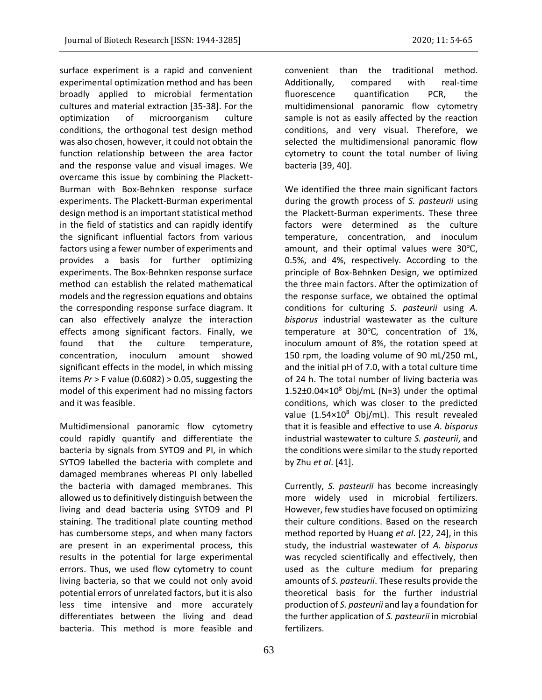surface experiment is a rapid and convenient experimental optimization method and has been broadly applied to microbial fermentation cultures and material extraction [35-38]. For the optimization of microorganism culture conditions, the orthogonal test design method was also chosen, however, it could not obtain the function relationship between the area factor and the response value and visual images. We overcame this issue by combining the Plackett-Burman with Box-Behnken response surface experiments. The Plackett-Burman experimental design method is an important statistical method in the field of statistics and can rapidly identify the significant influential factors from various factors using a fewer number of experiments and provides a basis for further optimizing experiments. The Box-Behnken response surface method can establish the related mathematical models and the regression equations and obtains the corresponding response surface diagram. It can also effectively analyze the interaction effects among significant factors. Finally, we found that the culture temperature, concentration, inoculum amount showed significant effects in the model, in which missing items *Pr* > F value (0.6082) > 0.05, suggesting the model of this experiment had no missing factors and it was feasible.

Multidimensional panoramic flow cytometry could rapidly quantify and differentiate the bacteria by signals from SYTO9 and PI, in which SYTO9 labelled the bacteria with complete and damaged membranes whereas PI only labelled the bacteria with damaged membranes. This allowed us to definitively distinguish between the living and dead bacteria using SYTO9 and PI staining. The traditional plate counting method has cumbersome steps, and when many factors are present in an experimental process, this results in the potential for large experimental errors. Thus, we used flow cytometry to count living bacteria, so that we could not only avoid potential errors of unrelated factors, but it is also less time intensive and more accurately differentiates between the living and dead bacteria. This method is more feasible and

convenient than the traditional method. Additionally, compared with real-time fluorescence quantification PCR, the multidimensional panoramic flow cytometry sample is not as easily affected by the reaction conditions, and very visual. Therefore, we selected the multidimensional panoramic flow cytometry to count the total number of living bacteria [39, 40].

We identified the three main significant factors during the growth process of *S. pasteurii* using the Plackett-Burman experiments. These three factors were determined as the culture temperature, concentration, and inoculum amount, and their optimal values were 30℃, 0.5%, and 4%, respectively. According to the principle of Box-Behnken Design, we optimized the three main factors. After the optimization of the response surface, we obtained the optimal conditions for culturing *S. pasteurii* using *A. bisporus* industrial wastewater as the culture temperature at 30℃, concentration of 1%, inoculum amount of 8%, the rotation speed at 150 rpm, the loading volume of 90 mL/250 mL, and the initial pH of 7.0, with a total culture time of 24 h. The total number of living bacteria was  $1.52\pm0.04\times10^8$  Obj/mL (N=3) under the optimal conditions, which was closer to the predicted value  $(1.54\times10^8 \text{ Obj/mL})$ . This result revealed that it is feasible and effective to use *A. bisporus* industrial wastewater to culture *S. pasteurii*, and the conditions were similar to the study reported by Zhu *et al*. [41].

Currently, *S. pasteurii* has become increasingly more widely used in microbial fertilizers. However, few studies have focused on optimizing their culture conditions. Based on the research method reported by Huang *et al*. [22, 24], in this study, the industrial wastewater of *A. bisporus* was recycled scientifically and effectively, then used as the culture medium for preparing amounts of *S. pasteurii*. These results provide the theoretical basis for the further industrial production of *S. pasteurii* and lay a foundation for the further application of *S. pasteurii* in microbial fertilizers.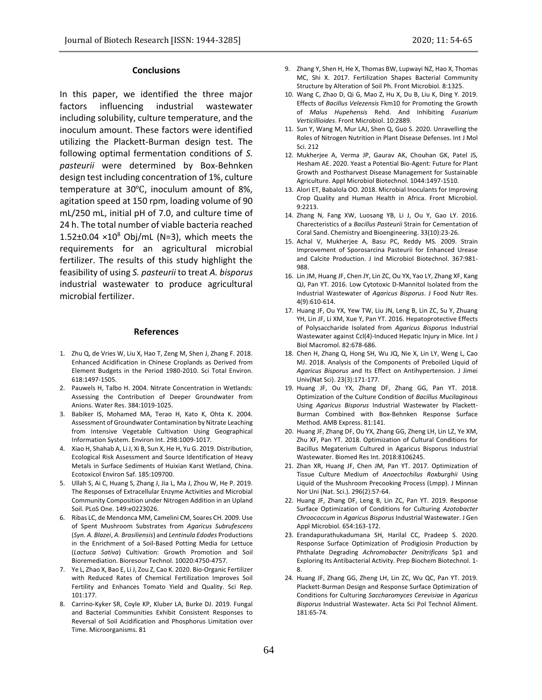# **Conclusions**

In this paper, we identified the three major factors influencing industrial wastewater including solubility, culture temperature, and the inoculum amount. These factors were identified utilizing the Plackett-Burman design test. The following optimal fermentation conditions of *S. pasteurii* were determined by Box-Behnken design test including concentration of 1%, culture temperature at 30℃, inoculum amount of 8%, agitation speed at 150 rpm, loading volume of 90 mL/250 mL, initial pH of 7.0, and culture time of 24 h. The total number of viable bacteria reached 1.52 $\pm$ 0.04 ×10<sup>8</sup> Obj/mL (N=3), which meets the requirements for an agricultural microbial fertilizer. The results of this study highlight the feasibility of using *S. pasteurii* to treat *A. bisporus* industrial wastewater to produce agricultural microbial fertilizer.

#### **References**

- 1. Zhu Q, de Vries W, Liu X, Hao T, Zeng M, Shen J, Zhang F. 2018. Enhanced Acidification in Chinese Croplands as Derived from Element Budgets in the Period 1980-2010. Sci Total Environ. 618:1497-1505.
- 2. Pauwels H, Talbo H. 2004. Nitrate Concentration in Wetlands: Assessing the Contribution of Deeper Groundwater from Anions. Water Res. 384:1019-1025.
- 3. Babiker IS, Mohamed MA, Terao H, Kato K, Ohta K. 2004. Assessment of Groundwater Contamination by Nitrate Leaching from Intensive Vegetable Cultivation Using Geographical Information System. Environ Int. 298:1009-1017.
- 4. Xiao H, Shahab A, Li J, Xi B, Sun X, He H, Yu G. 2019. Distribution, Ecological Risk Assessment and Source Identification of Heavy Metals in Surface Sediments of Huixian Karst Wetland, China. Ecotoxicol Environ Saf. 185:109700.
- 5. Ullah S, Ai C, Huang S, Zhang J, Jia L, Ma J, Zhou W, He P. 2019. The Responses of Extracellular Enzyme Activities and Microbial Community Composition under Nitrogen Addition in an Upland Soil. PLoS One. 149:e0223026.
- 6. Ribas LC, de Mendonca MM, Camelini CM, Soares CH. 2009. Use of Spent Mushroom Substrates from *Agaricus Subrufescens* (*Syn. A. Blazei*, *A. Brasiliensis*) and *Lentinula Edodes* Productions in the Enrichment of a Soil-Based Potting Media for Lettuce (*Lactuca Sativa*) Cultivation: Growth Promotion and Soil Bioremediation. Bioresour Technol. 10020:4750-4757.
- 7. Ye L, Zhao X, Bao E, Li J, Zou Z, Cao K. 2020. Bio-Organic Fertilizer with Reduced Rates of Chemical Fertilization Improves Soil Fertility and Enhances Tomato Yield and Quality. Sci Rep. 101:177.
- 8. Carrino-Kyker SR, Coyle KP, Kluber LA, Burke DJ. 2019. Fungal and Bacterial Communities Exhibit Consistent Responses to Reversal of Soil Acidification and Phosphorus Limitation over Time. Microorganisms. 81
- 9. Zhang Y, Shen H, He X, Thomas BW, Lupwayi NZ, Hao X, Thomas MC, Shi X. 2017. Fertilization Shapes Bacterial Community Structure by Alteration of Soil Ph. Front Microbiol. 8:1325.
- 10. Wang C, Zhao D, Qi G, Mao Z, Hu X, Du B, Liu K, Ding Y. 2019. Effects of *Bacillus Velezensis* Fkm10 for Promoting the Growth of *Malus Hupehensis* Rehd. And Inhibiting *Fusarium Verticillioides*. Front Microbiol. 10:2889.
- 11. Sun Y, Wang M, Mur LAJ, Shen Q, Guo S. 2020. Unravelling the Roles of Nitrogen Nutrition in Plant Disease Defenses. Int J Mol Sci. 212
- 12. Mukherjee A, Verma JP, Gaurav AK, Chouhan GK, Patel JS, Hesham AE. 2020. Yeast a Potential Bio-Agent: Future for Plant Growth and Postharvest Disease Management for Sustainable Agriculture. Appl Microbiol Biotechnol. 1044:1497-1510.
- 13. Alori ET, Babalola OO. 2018. Microbial Inoculants for Improving Crop Quality and Human Health in Africa. Front Microbiol. 9:2213.
- 14. Zhang N, Fang XW, Luosang YB, Li J, Ou Y, Gao LY. 2016. Charecteristics of a *Bacillus Pasteurii* Strain for Cementation of Coral Sand. Chemistry and Bioengineering. 33(10):23-26.
- 15. Achal V, Mukherjee A, Basu PC, Reddy MS. 2009. Strain Improvement of Sporosarcina Pasteurii for Enhanced Urease and Calcite Production. J Ind Microbiol Biotechnol. 367:981- 988.
- 16. Lin JM, Huang JF, Chen JY, Lin ZC, Ou YX, Yao LY, Zhang XF, Kang QJ, Pan YT. 2016. Low Cytotoxic D-Mannitol Isolated from the Industrial Wastewater of *Agaricus Bisporus*. J Food Nutr Res. 4(9):610-614.
- 17. Huang JF, Ou YX, Yew TW, Liu JN, Leng B, Lin ZC, Su Y, Zhuang YH, Lin JF, Li XM, Xue Y, Pan YT. 2016. Hepatoprotective Effects of Polysaccharide Isolated from *Agaricus Bisporus* Industrial Wastewater against Ccl(4)-Induced Hepatic Injury in Mice. Int J Biol Macromol. 82:678-686.
- 18. Chen H, Zhang Q, Hong SH, Wu JQ, Nie X, Lin LY, Weng L, Cao MJ. 2018. Analysis of the Components of Preboiled Liquid of *Agaricus Bisporus* and Its Effect on Antihypertension. J Jimei Univ(Nat Sci). 23(3):171-177.
- 19. Huang JF, Ou YX, Zhang DF, Zhang GG, Pan YT. 2018. Optimization of the Culture Condition of *Bacillus Mucilaginous* Using *Agaricus Bisporus* Industrial Wastewater by Plackett-Burman Combined with Box-Behnken Response Surface Method. AMB Express. 81:141.
- 20. Huang JF, Zhang DF, Ou YX, Zhang GG, Zheng LH, Lin LZ, Ye XM, Zhu XF, Pan YT. 2018. Optimization of Cultural Conditions for Bacillus Megaterium Cultured in Agaricus Bisporus Industrial Wastewater. Biomed Res Int. 2018:8106245.
- 21. Zhan XR, Huang JF, Chen JM, Pan YT. 2017. Optimization of Tissue Culture Medium of *Anoectochilus Roxburghii* Using Liquid of the Mushroom Precooking Process (Lmpp). J Minnan Nor Uni (Nat. Sci.). 296(2):57-64.
- 22. Huang JF, Zhang DF, Leng B, Lin ZC, Pan YT. 2019. Response Surface Optimization of Conditions for Culturing *Azotobacter Chroococcum* in *Agaricus Bisporus* Industrial Wastewater. J Gen Appl Microbiol. 654:163-172.
- 23. Erandapurathukadumana SH, Harilal CC, Pradeep S. 2020. Response Surface Optimization of Prodigiosin Production by Phthalate Degrading *Achromobacter Denitrificans* Sp1 and Exploring Its Antibacterial Activity. Prep Biochem Biotechnol. 1- 8.
- 24. Huang JF, Zhang GG, Zheng LH, Lin ZC, Wu QC, Pan YT. 2019. Plackett-Burman Design and Response Surface Optimization of Conditions for Culturing *Saccharomyces Cerevisiae* in *Agaricus Bisporus* Industrial Wastewater. Acta Sci Pol Technol Aliment. 181:65-74.